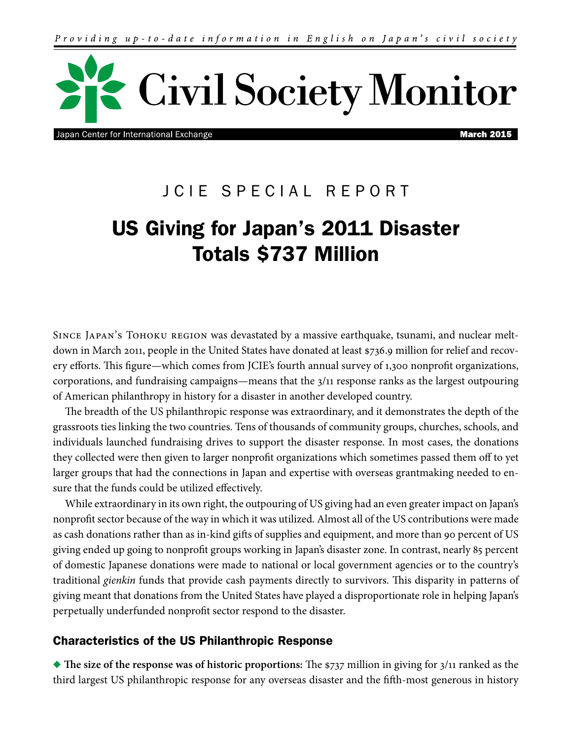

Japan Center for International Exchange

**March 2015** 

# JCIE SPECIAL REPORT

# US Giving for Japan's 2011 Disaster Totals \$737 Million

Since Japan's Tohoku region was devastated by a massive earthquake, tsunami, and nuclear meltdown in March 2011, people in the United States have donated at least \$736.9 million for relief and recovery efforts. This figure—which comes from JCIE's fourth annual survey of 1,300 nonprofit organizations, corporations, and fundraising campaigns—means that the 3/11 response ranks as the largest outpouring of American philanthropy in history for a disaster in another developed country.

The breadth of the US philanthropic response was extraordinary, and it demonstrates the depth of the grassroots ties linking the two countries. Tens of thousands of community groups, churches, schools, and individuals launched fundraising drives to support the disaster response. In most cases, the donations they collected were then given to larger nonprofit organizations which sometimes passed them off to yet larger groups that had the connections in Japan and expertise with overseas grantmaking needed to ensure that the funds could be utilized effectively.

While extraordinary in its own right, the outpouring of US giving had an even greater impact on Japan's nonprofit sector because of the way in which it was utilized. Almost all of the US contributions were made as cash donations rather than as in-kind gifts of supplies and equipment, and more than 90 percent of US giving ended up going to nonprofit groups working in Japan's disaster zone. In contrast, nearly 85 percent of domestic Japanese donations were made to national or local government agencies or to the country's traditional *gienkin* funds that provide cash payments directly to survivors. This disparity in patterns of giving meant that donations from the United States have played a disproportionate role in helping Japan's perpetually underfunded nonprofit sector respond to the disaster.

# Characteristics of the US Philanthropic Response

u **The size of the response was of historic proportions:** The \$737 million in giving for 3/11 ranked as the third largest US philanthropic response for any overseas disaster and the fifth-most generous in history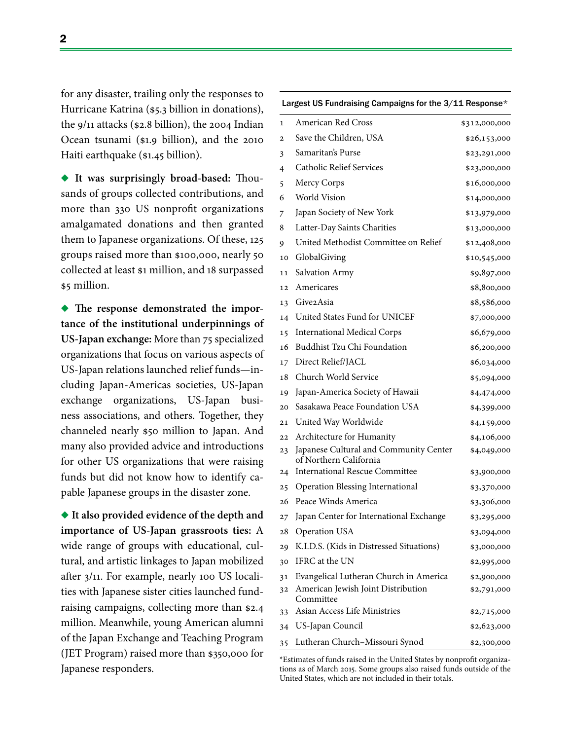for any disaster, trailing only the responses to Hurricane Katrina (\$5.3 billion in donations), the 9/11 attacks (\$2.8 billion), the 2004 Indian Ocean tsunami (\$1.9 billion), and the 2010 Haiti earthquake (\$1.45 billion).

u **It was surprisingly broad-based:** Thousands of groups collected contributions, and more than 330 US nonprofit organizations amalgamated donations and then granted them to Japanese organizations. Of these, 125 groups raised more than \$100,000, nearly 50 collected at least \$1 million, and 18 surpassed \$5 million.

• The response demonstrated the impor**tance of the institutional underpinnings of US-Japan exchange:** More than 75 specialized organizations that focus on various aspects of US-Japan relations launched relief funds—including Japan-Americas societies, US-Japan exchange organizations, US-Japan business associations, and others. Together, they channeled nearly \$50 million to Japan. And many also provided advice and introductions for other US organizations that were raising funds but did not know how to identify capable Japanese groups in the disaster zone.

◆ It also provided evidence of the depth and **importance of US-Japan grassroots ties:** A wide range of groups with educational, cultural, and artistic linkages to Japan mobilized after 3/11. For example, nearly 100 US localities with Japanese sister cities launched fundraising campaigns, collecting more than \$2.4 million. Meanwhile, young American alumni of the Japan Exchange and Teaching Program (JET Program) raised more than \$350,000 for Japanese responders.

| Largest US Fundraising Campaigns for the 3/11 Response* |                                                                  |               |
|---------------------------------------------------------|------------------------------------------------------------------|---------------|
| $\mathbf{1}$                                            | American Red Cross                                               | \$312,000,000 |
| 2                                                       | Save the Children, USA                                           | \$26,153,000  |
| 3                                                       | Samaritan's Purse                                                | \$23,291,000  |
| 4                                                       | <b>Catholic Relief Services</b>                                  | \$23,000,000  |
| 5                                                       | Mercy Corps                                                      | \$16,000,000  |
| 6                                                       | <b>World Vision</b>                                              | \$14,000,000  |
| 7                                                       | Japan Society of New York                                        | \$13,979,000  |
| 8                                                       | Latter-Day Saints Charities                                      | \$13,000,000  |
| 9                                                       | United Methodist Committee on Relief                             | \$12,408,000  |
| 10                                                      | GlobalGiving                                                     | \$10,545,000  |
| 11                                                      | Salvation Army                                                   | \$9,897,000   |
| 12                                                      | Americares                                                       | \$8,800,000   |
| 13                                                      | Give2Asia                                                        | \$8,586,000   |
| 14                                                      | United States Fund for UNICEF                                    | \$7,000,000   |
| 15                                                      | <b>International Medical Corps</b>                               | \$6,679,000   |
| 16                                                      | <b>Buddhist Tzu Chi Foundation</b>                               | \$6,200,000   |
| 17                                                      | Direct Relief/JACL                                               | \$6,034,000   |
| 18                                                      | Church World Service                                             | \$5,094,000   |
| 19                                                      | Japan-America Society of Hawaii                                  | \$4,474,000   |
| 20                                                      | Sasakawa Peace Foundation USA                                    | \$4,399,000   |
| 21                                                      | United Way Worldwide                                             | \$4,159,000   |
| 22                                                      | Architecture for Humanity                                        | \$4,106,000   |
| 23                                                      | Japanese Cultural and Community Center<br>of Northern California | \$4,049,000   |
| 24                                                      | <b>International Rescue Committee</b>                            | \$3,900,000   |
| 25                                                      | Operation Blessing International                                 | \$3,370,000   |
| 26                                                      | Peace Winds America                                              | \$3,306,000   |
|                                                         | 27 Japan Center for International Exchange                       | \$3,295,000   |
| 28                                                      | Operation USA                                                    | \$3,094,000   |
| 29                                                      | K.I.D.S. (Kids in Distressed Situations)                         | \$3,000,000   |
| 30                                                      | IFRC at the UN                                                   | \$2,995,000   |
| 31                                                      | Evangelical Lutheran Church in America                           | \$2,900,000   |
| 32                                                      | American Jewish Joint Distribution<br>Committee                  | \$2,791,000   |
| 33                                                      | Asian Access Life Ministries                                     | \$2,715,000   |
| 34                                                      | US-Japan Council                                                 | \$2,623,000   |
| 35                                                      | Lutheran Church-Missouri Synod                                   | \$2,300,000   |

\*Estimates of funds raised in the United States by nonprofit organizations as of March 2015. Some groups also raised funds outside of the United States, which are not included in their totals.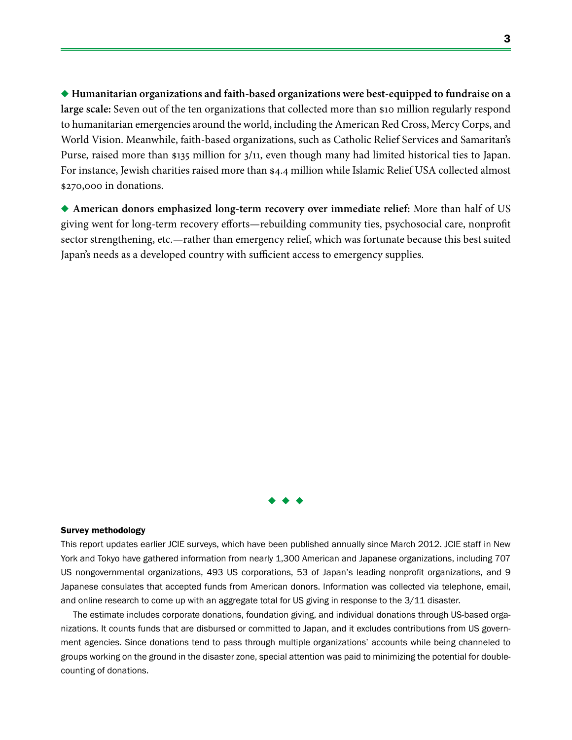◆ Humanitarian organizations and faith-based organizations were best-equipped to fundraise on a **large scale:** Seven out of the ten organizations that collected more than \$10 million regularly respond to humanitarian emergencies around the world, including the American Red Cross, Mercy Corps, and World Vision. Meanwhile, faith-based organizations, such as Catholic Relief Services and Samaritan's Purse, raised more than \$135 million for 3/11, even though many had limited historical ties to Japan. For instance, Jewish charities raised more than \$4.4 million while Islamic Relief USA collected almost \$270,000 in donations.

u **American donors emphasized long-term recovery over immediate relief:** More than half of US giving went for long-term recovery efforts—rebuilding community ties, psychosocial care, nonprofit sector strengthening, etc.—rather than emergency relief, which was fortunate because this best suited Japan's needs as a developed country with sufficient access to emergency supplies.



#### Survey methodology

This report updates earlier JCIE surveys, which have been published annually since March 2012. JCIE staff in New York and Tokyo have gathered information from nearly 1,300 American and Japanese organizations, including 707 US nongovernmental organizations, 493 US corporations, 53 of Japan's leading nonprofit organizations, and 9 Japanese consulates that accepted funds from American donors. Information was collected via telephone, email, and online research to come up with an aggregate total for US giving in response to the 3/11 disaster.

The estimate includes corporate donations, foundation giving, and individual donations through US-based organizations. It counts funds that are disbursed or committed to Japan, and it excludes contributions from US government agencies. Since donations tend to pass through multiple organizations' accounts while being channeled to groups working on the ground in the disaster zone, special attention was paid to minimizing the potential for doublecounting of donations.